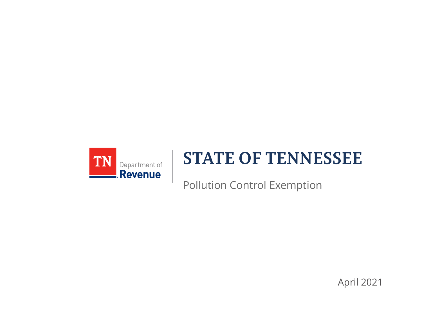

#### **STATE OF TENNESSEE**

Pollution Control Exemption

April 2021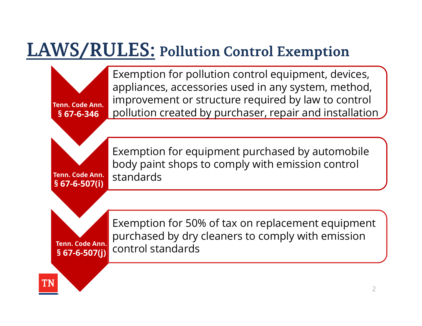Tenn. Code Ann. Tenn. Code Ann.

Tenn. Code Ann.

**MS/RULES:** Pollution Contract CONSTANDANT CONSUMING A POLLUTION CONDUCT ON A POLLUTION OF ST-6-346<br>
BEXECUTES: ACCESSORIES UNDER THE ST-6-346<br>
DOLLUTION CREATED by DUITE<br>
Exemption for equipment body paint shops to comp VS/RULES: Pollution Contro appliances, accessories used in improvement or structure requested in the pollution created by purchaser, accessories used in provement or structure requested by purchaser, Exemption for equipmen **WS/RULES:** Pollution Co<br>
Exemption for pollution c<br>
appliances, accessories us<br>
s 67-6-346<br>
Premption created by purchases are<br>
Fremption for equipment Exemption for pollution control equipment, devices, appliances, accessories used in any system, method, improvement or structure required by law to control pollution created by purchaser, repair and installation Exemption for pollution Complement of pollution of appliances, accessories uniform of structure in the pollution created by pure Exemption for equipment of structure body paint shops to complement of  $\frac{1}{2}$  Exemption fo

and body paint shops to comply with emission control Exemption for equipment purchased by automobile standards Exemption for equipment<br>
body paint shops to comp<br>
standards<br>
ST-6-507(i)<br>
Exemption for 50% of tax<br>
Franc.code Ann.<br>
SEXemption for 50% of tax<br>
SEXemption for 50% of tax<br>
SEXemption for 50% of tax<br>
SEXEMPTION Standards

Sept. 2016. In the separation of the separation of the separation of the separation of the separation of the s

 $\sim$  specifies when  $\sim$ Exemption for 50% of tax on replacement equipment  $\overline{a}$ <u>including</u> **Register 2.0** purchased by dry cleaners to comply with emission **the purchased** by dry cleaners to comply with emission Tenn. Code Ann.<br>§ 67-6-507(i) CONtrol standards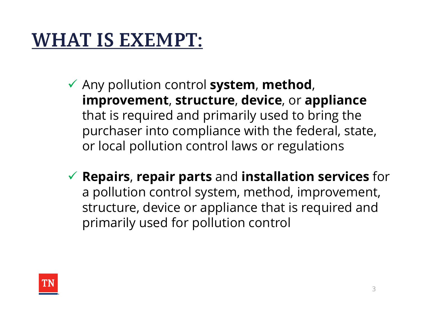### **WHAT IS EXEMPT:**

- $\checkmark$  Any pollution control system, method, improvement, structure, device, or appliance that is required and primarily used to bring the purchaser into compliance with the federal, state, or local pollution control laws or regulations
- $\checkmark$  Repairs, repair parts and installation services for a pollution control system, method, improvement, structure, device or appliance that is required and primarily used for pollution control

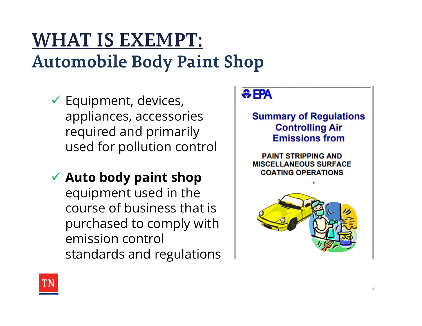#### **WHAT IS EXEMPT: Automobile Body Paint Shop**

- appliances, accessories required and primarily used for pollution control
- ◆ Auto body paint shop | COATING OPERATIONS equipment used in the course of business that is purchased to comply with emission control standards and regulations



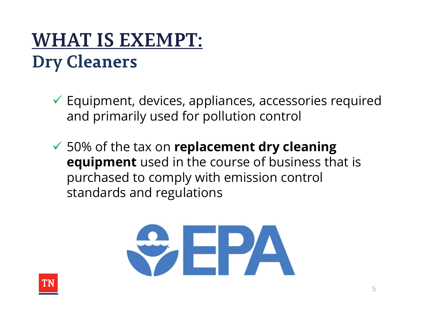#### **WHAT IS EXEMPT: Dry Cleaners**

- Equipment, devices, appliances, accessories required and primarily used for pollution control
- $\checkmark$  50% of the tax on replacement dry cleaning equipment used in the course of business that is purchased to comply with emission control standards and regulations



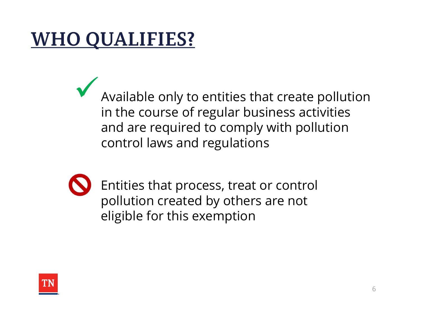# **WHO QUALIFIES?**

Available only to entities that create pollution in the course of regular business activities and are required to comply with pollution control laws and regulations



Entities that process, treat or control pollution created by others are not eligible for this exemption

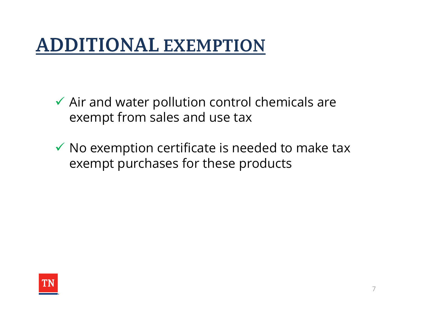#### **ADDITIONAL EXEMPTION**

- $\checkmark$  Air and water pollution control chemicals are exempt from sales and use tax
- $\checkmark$  No exemption certificate is needed to make tax exempt purchases for these products

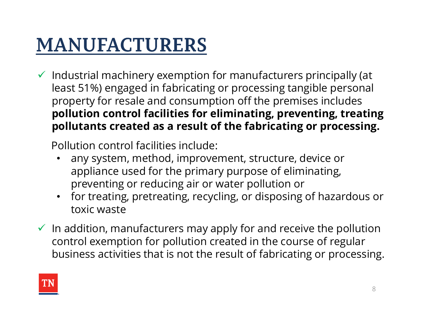### **MANUFACTURERS**

 $\checkmark$  Industrial machinery exemption for manufacturers principally (at least 51%) engaged in fabricating or processing tangible personal property for resale and consumption off the premises includes pollution control facilities for eliminating, preventing, treating pollutants created as a result of the fabricating or processing.

Pollution control facilities include:

- any system, method, improvement, structure, device or appliance used for the primary purpose of eliminating, preventing or reducing air or water pollution or
- for treating, pretreating, recycling, or disposing of hazardous or toxic waste
- $\checkmark$  In addition, manufacturers may apply for and receive the pollution control exemption for pollution created in the course of regular business activities that is not the result of fabricating or processing.

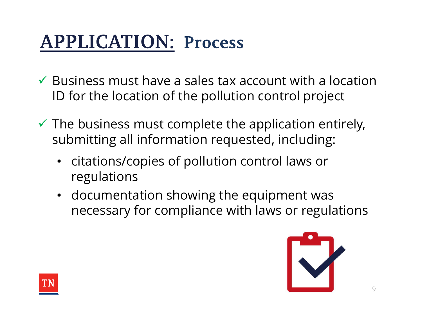### **APPLICATION: Process**

- $\checkmark$  Business must have a sales tax account with a location ID for the location of the pollution control project
- $\checkmark$  The business must complete the application entirely, submitting all information requested, including:
	- citations/copies of pollution control laws or regulations
	- documentation showing the equipment was necessary for compliance with laws or regulations



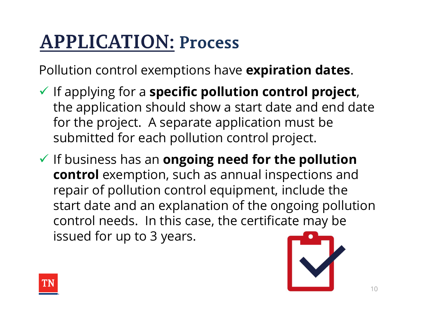# **APPLICATION: Process**

Pollution control exemptions have expiration dates.

- $\checkmark$  If applying for a specific pollution control project, the application should show a start date and end date for the project. A separate application must be submitted for each pollution control project.
- $\checkmark$  If business has an ongoing need for the pollution control exemption, such as annual inspections and repair of pollution control equipment, include the start date and an explanation of the ongoing pollution control needs. In this case, the certificate may be issued for up to 3 years.



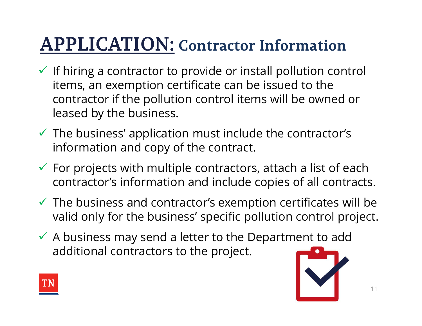#### **APPLICATION: Contractor Information**

- $\checkmark$  If hiring a contractor to provide or install pollution control items, an exemption certificate can be issued to the contractor if the pollution control items will be owned or leased by the business.
- $\checkmark$  The business' application must include the contractor's information and copy of the contract.
- $\checkmark$  For projects with multiple contractors, attach a list of each contractor's information and include copies of all contracts.
- $\checkmark$  The business and contractor's exemption certificates will be valid only for the business' specific pollution control project.
- $\checkmark$  A business may send a letter to the Department to add additional contractors to the project.



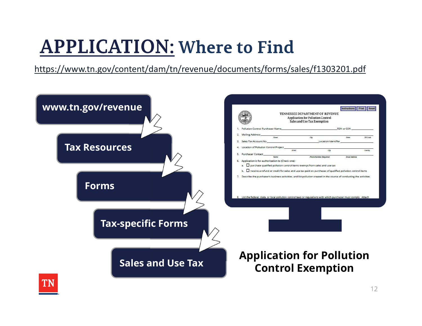#### **APPLICATION: Where to Find**

https://www.tn.gov/content/dam/tn/revenue/documents/forms/sales/f1303201.pdf

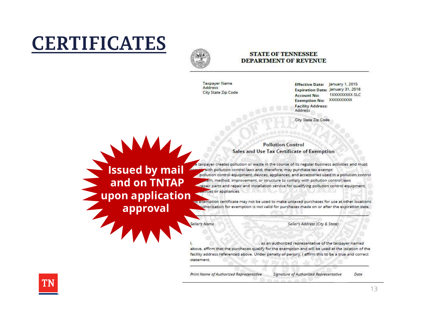# **CERTIFICATES**



#### **STATE OF TENNESSEE DEPARTMENT OF REVENUE**

**Taxpayer Name** Address City State Zip Code Effective Date: January 1, 2015 **Expiration Date: January 31, 2018** 1XXXXXXXXXX-SLC **Account No:** XXXXXXXXXX **Exemption No: Facility Address:** Address

City State Zip Code

#### **Pollution Control** Sales and Use Tax Certificate of Exemption

**ISSUECO** by mail **in the taxpayer creates pollution or waste in the course of its regular business activities and must<br>ISSUECO by mail pollution control laws and, therefore, may purchase tax exempt:<br>pollution control equi** and on TNTAP repair parts and repair and installation service for qualifying pollution control laws **upon application** we exemption certificate may not be used to make untaxed purchases for use at other locations.

uthorization for exemption is not valid for purchases made on or after the expiration date.

ller's Name

approval

Seller's Address (City & State)

as an authorized representative of the taxpayer named above, affirm that the purchases qualify for the exemption and will be used at the location of the facility address referenced above. Under penalty of perjury, I affirm this to be a true and correct statement.

Print Name of Authorized Representative Signature of Authorized Representative



Date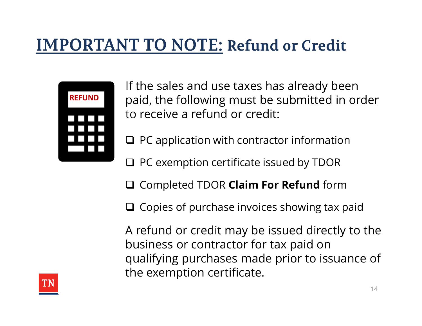#### **IMPORTANT TO NOTE: Refund or Credit**



If the sales and use taxes has already been paid, the following must be submitted in order to receive a refund or credit:

 $\Box$  PC application with contractor information

□ PC exemption certificate issued by TDOR

□ Completed TDOR Claim For Refund form

 $\Box$  Copies of purchase invoices showing tax paid

A refund or credit may be issued directly to the business or contractor for tax paid on qualifying purchases made prior to issuance of the exemption certificate.